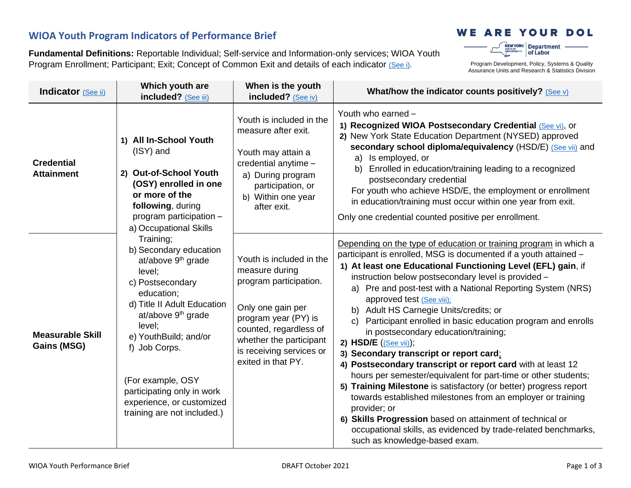## **WIOA Youth Program Indicators of Performance Brief**

**Fundamental Definitions:** Reportable Individual; Self-service and Information-only services; WIOA Youth Program Enrollment; Participant; Exit; Concept of Common Exit and details of each indicator [\(See i\).](#page-1-0)

#### **WE ARE YOUR DOL**



Program Development, Policy, Systems & Quality Assurance Units and Research & Statistics Division

| Indicator (See ii)                     | Which youth are<br>included? (See iii)                                                                                                                                                                                                                                                                                                                                                                                                                                                                                                      | When is the youth<br>included? (See iv)                                                                                                                                                                                  | What/how the indicator counts positively? $(See V)$                                                                                                                                                                                                                                                                                                                                                                                                                                                                                                                                                                                                                                                                                                                                                                                                                                                                                                                                                                                           |
|----------------------------------------|---------------------------------------------------------------------------------------------------------------------------------------------------------------------------------------------------------------------------------------------------------------------------------------------------------------------------------------------------------------------------------------------------------------------------------------------------------------------------------------------------------------------------------------------|--------------------------------------------------------------------------------------------------------------------------------------------------------------------------------------------------------------------------|-----------------------------------------------------------------------------------------------------------------------------------------------------------------------------------------------------------------------------------------------------------------------------------------------------------------------------------------------------------------------------------------------------------------------------------------------------------------------------------------------------------------------------------------------------------------------------------------------------------------------------------------------------------------------------------------------------------------------------------------------------------------------------------------------------------------------------------------------------------------------------------------------------------------------------------------------------------------------------------------------------------------------------------------------|
| <b>Credential</b><br><b>Attainment</b> | 1) All In-School Youth<br>(ISY) and<br>2) Out-of-School Youth<br>(OSY) enrolled in one<br>or more of the<br>following, during<br>program participation -<br>a) Occupational Skills<br>Training;<br>b) Secondary education<br>at/above 9 <sup>th</sup> grade<br>level;<br>c) Postsecondary<br>education;<br>d) Title II Adult Education<br>at/above 9 <sup>th</sup> grade<br>level:<br>e) YouthBuild; and/or<br>f) Job Corps.<br>(For example, OSY<br>participating only in work<br>experience, or customized<br>training are not included.) | Youth is included in the<br>measure after exit.<br>Youth may attain a<br>credential anytime -<br>a) During program<br>participation, or<br>b) Within one year<br>after exit.                                             | Youth who earned -<br>1) Recognized WIOA Postsecondary Credential (See vi), or<br>2) New York State Education Department (NYSED) approved<br>secondary school diploma/equivalency (HSD/E) (See vii) and<br>a) Is employed, or<br>Enrolled in education/training leading to a recognized<br>b)<br>postsecondary credential<br>For youth who achieve HSD/E, the employment or enrollment<br>in education/training must occur within one year from exit.<br>Only one credential counted positive per enrollment.                                                                                                                                                                                                                                                                                                                                                                                                                                                                                                                                 |
| <b>Measurable Skill</b><br>Gains (MSG) |                                                                                                                                                                                                                                                                                                                                                                                                                                                                                                                                             | Youth is included in the<br>measure during<br>program participation.<br>Only one gain per<br>program year (PY) is<br>counted, regardless of<br>whether the participant<br>is receiving services or<br>exited in that PY. | Depending on the type of education or training program in which a<br>participant is enrolled, MSG is documented if a youth attained -<br>1) At least one Educational Functioning Level (EFL) gain, if<br>instruction below postsecondary level is provided -<br>a) Pre and post-test with a National Reporting System (NRS)<br>approved test (See viii);<br>Adult HS Carnegie Units/credits; or<br>b)<br>Participant enrolled in basic education program and enrolls<br>C)<br>in postsecondary education/training;<br>2) HSD/E $(See vii)1$ ;<br>3) Secondary transcript or report card;<br>4) Postsecondary transcript or report card with at least 12<br>hours per semester/equivalent for part-time or other students;<br>5) Training Milestone is satisfactory (or better) progress report<br>towards established milestones from an employer or training<br>provider; or<br>6) Skills Progression based on attainment of technical or<br>occupational skills, as evidenced by trade-related benchmarks,<br>such as knowledge-based exam. |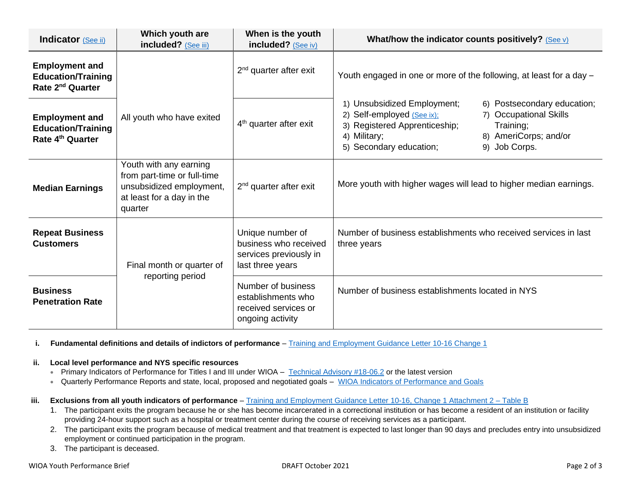| Indicator (See ii)                                                                 | Which youth are<br>included? (See iii)                                                                                    | When is the youth<br>included? (See iv)                                                 | What/how the indicator counts positively? $(See v)$                                                                                                                                                                                                   |
|------------------------------------------------------------------------------------|---------------------------------------------------------------------------------------------------------------------------|-----------------------------------------------------------------------------------------|-------------------------------------------------------------------------------------------------------------------------------------------------------------------------------------------------------------------------------------------------------|
| <b>Employment and</b><br><b>Education/Training</b><br>Rate 2 <sup>nd</sup> Quarter |                                                                                                                           | 2 <sup>nd</sup> quarter after exit                                                      | Youth engaged in one or more of the following, at least for a day -                                                                                                                                                                                   |
| <b>Employment and</b><br><b>Education/Training</b><br>Rate 4 <sup>th</sup> Quarter | All youth who have exited                                                                                                 | $4th$ quarter after exit                                                                | 1) Unsubsidized Employment;<br>6) Postsecondary education;<br>2) Self-employed (See ix);<br>7) Occupational Skills<br>3) Registered Apprenticeship;<br>Training;<br>8) AmeriCorps; and/or<br>4) Military;<br>5) Secondary education;<br>9) Job Corps. |
| <b>Median Earnings</b>                                                             | Youth with any earning<br>from part-time or full-time<br>unsubsidized employment,<br>at least for a day in the<br>quarter | $2nd$ quarter after exit                                                                | More youth with higher wages will lead to higher median earnings.                                                                                                                                                                                     |
| <b>Repeat Business</b><br><b>Customers</b>                                         | Final month or quarter of<br>reporting period                                                                             | Unique number of<br>business who received<br>services previously in<br>last three years | Number of business establishments who received services in last<br>three years                                                                                                                                                                        |
| <b>Business</b><br><b>Penetration Rate</b>                                         |                                                                                                                           | Number of business<br>establishments who<br>received services or<br>ongoing activity    | Number of business establishments located in NYS                                                                                                                                                                                                      |

<span id="page-1-0"></span>**i.** Fundamental definitions and details of indictors of performance – Training [and Employment Guidance Letter](https://wdr.doleta.gov/directives/corr_doc.cfm?DOCN=3255) 10-16 Change 1

#### <span id="page-1-1"></span>**ii. Local level performance and NYS specific resources**

- <span id="page-1-2"></span>• Primary Indicators of Performance for Titles I and III under WIOA – [Technical Advisory #18-06.2](https://dol.ny.gov/policy-directives) or the latest version
- Quarterly Performance Reports and state, local, proposed and negotiated goals [WIOA Indicators of Performance](https://dol.ny.gov/performance-indicators-goals) and Goals
- **iii. Exclusions from all youth indicators of performance** [Training and Employment Guidance Letter](https://wdr.doleta.gov/directives/attach/TEGL/TEGL_10-16-Change1_Attachment_2_Acc.pdf) 10-16, Change 1 Attachment 2 Table B
	- 1. The participant exits the program because he or she has become incarcerated in a correctional institution or has become a resident of an institution or facility providing 24-hour support such as a hospital or treatment center during the course of receiving services as a participant.
	- 2. The participant exits the program because of medical treatment and that treatment is expected to last longer than 90 days and precludes entry into unsubsidized employment or continued participation in the program.
	- 3. The participant is deceased.